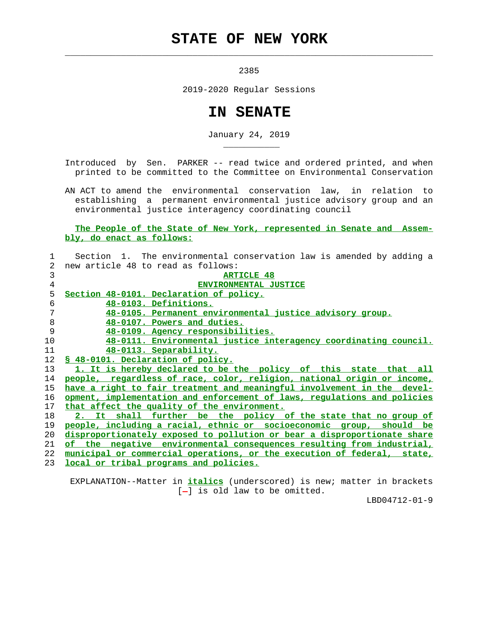## **STATE OF NEW YORK**

 $\mathcal{L}_\text{max} = \frac{1}{2} \sum_{i=1}^{n} \frac{1}{2} \sum_{i=1}^{n} \frac{1}{2} \sum_{i=1}^{n} \frac{1}{2} \sum_{i=1}^{n} \frac{1}{2} \sum_{i=1}^{n} \frac{1}{2} \sum_{i=1}^{n} \frac{1}{2} \sum_{i=1}^{n} \frac{1}{2} \sum_{i=1}^{n} \frac{1}{2} \sum_{i=1}^{n} \frac{1}{2} \sum_{i=1}^{n} \frac{1}{2} \sum_{i=1}^{n} \frac{1}{2} \sum_{i=1}^{n} \frac{1$ 

\_\_\_\_\_\_\_\_\_\_\_

2385

2019-2020 Regular Sessions

## **IN SENATE**

January 24, 2019

 Introduced by Sen. PARKER -- read twice and ordered printed, and when printed to be committed to the Committee on Environmental Conservation

 AN ACT to amend the environmental conservation law, in relation to establishing a permanent environmental justice advisory group and an environmental justice interagency coordinating council

 **The People of the State of New York, represented in Senate and Assem bly, do enact as follows:**

|                 | Section 1. The environmental conservation law is amended by adding a     |
|-----------------|--------------------------------------------------------------------------|
| 2               | new article 48 to read as follows:                                       |
| 3               | <b>ARTICLE 48</b>                                                        |
| $\overline{4}$  | <b>ENVIRONMENTAL JUSTICE</b>                                             |
| 5               | Section 48-0101. Declaration of policy.                                  |
| 6               | 48-0103. Definitions.                                                    |
| 7               | 48-0105. Permanent environmental justice advisory group.                 |
| 8               | 48-0107. Powers and duties.                                              |
| 9               | 48-0109. Agency responsibilities.                                        |
| 10              | 48-0111. Environmental justice interagency coordinating council.         |
| 11              | 48-0113. Separability.                                                   |
| 12 <sup>°</sup> | \$ 48-0101. Declaration of policy.                                       |
| 13              | 1. It is hereby declared to be the policy of this state that all         |
| 14              | people, regardless of race, color, religion, national origin or income,  |
| 15              | have a right to fair treatment and meaningful involvement in the devel-  |
| 16              | opment, implementation and enforcement of laws, requlations and policies |
| 17              | that affect the quality of the environment.                              |
| 18              | 2. It shall further be the policy of the state that no group of          |
| 19              | people, including a racial, ethnic or socioeconomic group, should be     |
| 20              | disproportionately exposed to pollution or bear a disproportionate share |
| 21              | of the negative environmental consequences resulting from industrial,    |
| 22              | municipal or commercial operations, or the execution of federal, state,  |
| 23              | local or tribal programs and policies.                                   |

 EXPLANATION--Matter in **italics** (underscored) is new; matter in brackets  $[-]$  is old law to be omitted.

LBD04712-01-9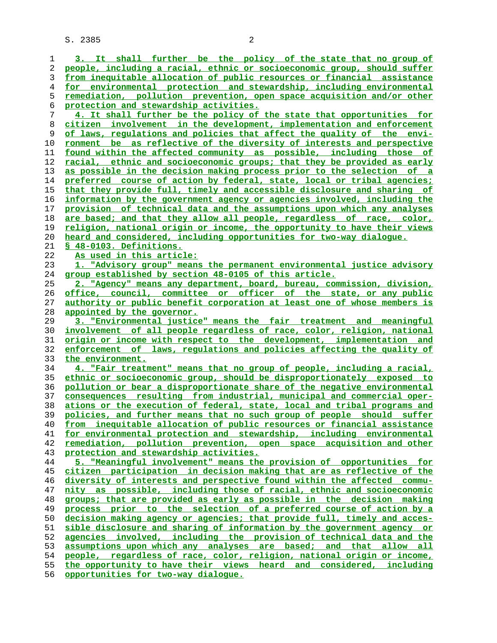**3. It shall further be the policy of the state that no group of people, including a racial, ethnic or socioeconomic group, should suffer from inequitable allocation of public resources or financial assistance for environmental protection and stewardship, including environmental remediation, pollution prevention, open space acquisition and/or other protection and stewardship activities. 4. It shall further be the policy of the state that opportunities for citizen involvement in the development, implementation and enforcement of laws, regulations and policies that affect the quality of the envi- ronment be as reflective of the diversity of interests and perspective found within the affected community as possible, including those of racial, ethnic and socioeconomic groups; that they be provided as early as possible in the decision making process prior to the selection of a preferred course of action by federal, state, local or tribal agencies; that they provide full, timely and accessible disclosure and sharing of information by the government agency or agencies involved, including the provision of technical data and the assumptions upon which any analyses are based; and that they allow all people, regardless of race, color, religion, national origin or income, the opportunity to have their views heard and considered, including opportunities for two-way dialogue. § 48-0103. Definitions. As used in this article: 1. "Advisory group" means the permanent environmental justice advisory group established by section 48-0105 of this article. 2. "Agency" means any department, board, bureau, commission, division, office, council, committee or officer of the state, or any public authority or public benefit corporation at least one of whose members is appointed by the governor. 3. "Environmental justice" means the fair treatment and meaningful involvement of all people regardless of race, color, religion, national origin or income with respect to the development, implementation and enforcement of laws, regulations and policies affecting the quality of the environment. 4. "Fair treatment" means that no group of people, including a racial, ethnic or socioeconomic group, should be disproportionately exposed to pollution or bear a disproportionate share of the negative environmental consequences resulting from industrial, municipal and commercial oper- ations or the execution of federal, state, local and tribal programs and policies, and further means that no such group of people should suffer from inequitable allocation of public resources or financial assistance for environmental protection and stewardship, including environmental remediation, pollution prevention, open space acquisition and other protection and stewardship activities. 5. "Meaningful involvement" means the provision of opportunities for citizen participation in decision making that are as reflective of the diversity of interests and perspective found within the affected commu- nity as possible, including those of racial, ethnic and socioeconomic groups; that are provided as early as possible in the decision making process prior to the selection of a preferred course of action by a decision making agency or agencies; that provide full, timely and acces- sible disclosure and sharing of information by the government agency or agencies involved, including the provision of technical data and the assumptions upon which any analyses are based; and that allow all people, regardless of race, color, religion, national origin or income, the opportunity to have their views heard and considered, including**

**opportunities for two-way dialogue.**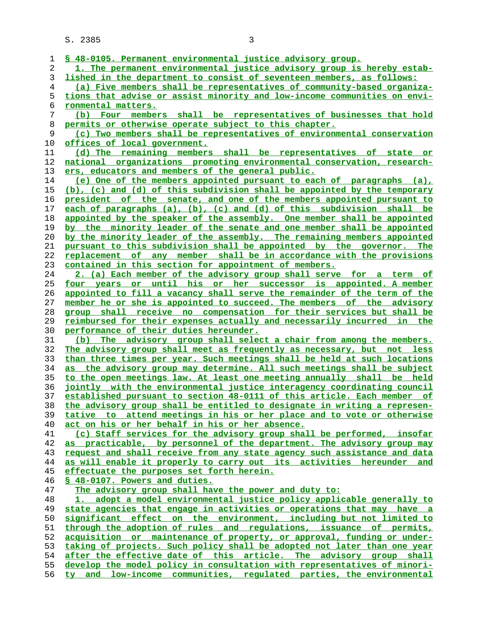| 1        | \$ 48-0105. Permanent environmental justice advisory group.                                                              |
|----------|--------------------------------------------------------------------------------------------------------------------------|
| 2        | 1. The permanent environmental justice advisory group is hereby estab-                                                   |
| 3        | lished in the department to consist of seventeen members, as follows:                                                    |
| 4        | (a) Five members shall be representatives of community-based organiza-                                                   |
| 5        | tions that advise or assist minority and low-income communities on envi-                                                 |
| 6        | ronmental matters.                                                                                                       |
| 7        | (b) Four members shall be representatives of businesses that hold                                                        |
| 8        | permits or otherwise operate subject to this chapter.                                                                    |
| 9        | (c) Two members shall be representatives of environmental conservation                                                   |
| 10       | offices of local government.                                                                                             |
| 11       | (d) The remaining members shall be representatives of state or                                                           |
| 12       | national organizations promoting environmental conservation, research-                                                   |
| 13       | ers, educators and members of the general public.                                                                        |
| 14       | (e) One of the members appointed pursuant to each of paragraphs (a),                                                     |
| 15       | (b), (c) and (d) of this subdivision shall be appointed by the temporary                                                 |
| 16       | president of the senate, and one of the members appointed pursuant to                                                    |
| 17       | each of paragraphs (a), (b), (c) and (d) of this subdivision shall be                                                    |
| 18       | appointed by the speaker of the assembly. One member shall be appointed                                                  |
| 19       | by the minority leader of the senate and one member shall be appointed                                                   |
| 20       | by the minority leader of the assembly. The remaining members appointed                                                  |
| 21       | pursuant to this subdivision shall be appointed by the governor. The                                                     |
| 22       | replacement of any member shall be in accordance with the provisions                                                     |
| 23       | contained in this section for appointment of members.                                                                    |
| 24       | 2. (a) Each member of the advisory group shall serve for a term of                                                       |
| 25       | four years or until his or her successor is appointed. A member                                                          |
| 26       | appointed to fill a vacancy shall serve the remainder of the term of the                                                 |
| 27       | member he or she is appointed to succeed. The members of the advisory                                                    |
| 28       | group shall receive no compensation for their services but shall be                                                      |
|          |                                                                                                                          |
|          |                                                                                                                          |
| 29       | reimbursed for their expenses actually and necessarily incurred in the                                                   |
| 30       | performance of their duties hereunder.                                                                                   |
| 31       | (b) The advisory group shall select a chair from among the members.                                                      |
| 32       | The advisory group shall meet as frequently as necessary, but not less                                                   |
| 33       | than three times per year. Such meetings shall be held at such locations                                                 |
| 34       | as the advisory group may determine. All such meetings shall be subject                                                  |
| 35       | to the open meetings law. At least one meeting annually shall be held                                                    |
| 36       | jointly with the environmental justice interagency coordinating council                                                  |
| 37       | established pursuant to section 48-0111 of this article. Each member of                                                  |
| 38<br>39 | the advisory group shall be entitled to designate in writing a represen-                                                 |
| 40       | tative to attend meetings in his or her place and to vote or otherwise                                                   |
| 41       | act on his or her behalf in his or her absence.<br>(c) Staff services for the advisory group shall be performed, insofar |
| 42       | as practicable, by personnel of the department. The advisory group may                                                   |
| 43       | request and shall receive from any state agency such assistance and data                                                 |
| 44       | as will enable it properly to carry out its activities hereunder and                                                     |
| 45       | effectuate the purposes set forth herein.                                                                                |
| 46       | § 48-0107. Powers and duties.                                                                                            |
| 47       | The advisory group shall have the power and duty to:                                                                     |
| 48       | 1. adopt a model environmental justice policy applicable generally to                                                    |
| 49       | state agencies that engage in activities or operations that may have a                                                   |
| 50       | significant effect on the environment, including but not limited to                                                      |
| 51       | through the adoption of rules and requlations, issuance of permits,                                                      |
| 52       | acquisition or maintenance of property, or approval, funding or under-                                                   |
| 53       | taking of projects. Such policy shall be adopted not later than one year                                                 |
| 54       | after the effective date of this article. The advisory group shall                                                       |
| 55       | develop the model policy in consultation with representatives of minori-                                                 |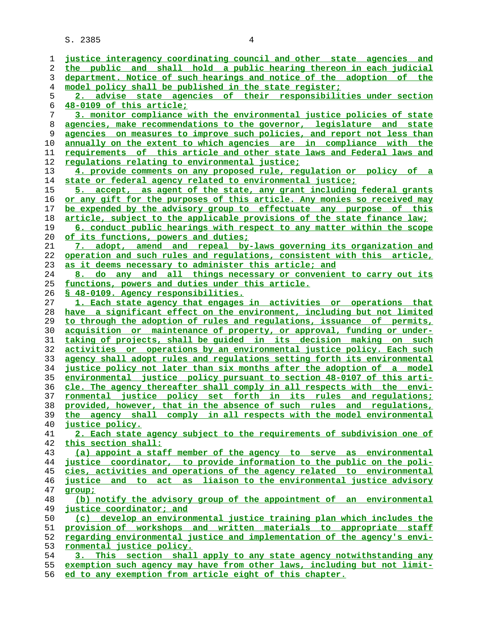| 1  | justice interagency coordinating council and other state agencies and    |
|----|--------------------------------------------------------------------------|
| 2  | the public and shall hold a public hearing thereon in each judicial      |
| 3  | department. Notice of such hearings and notice of the adoption of the    |
| 4  | model policy shall be published in the state register;                   |
| 5  | 2. advise state agencies of their responsibilities under section         |
| 6  | 48-0109 of this article;                                                 |
| 7  | 3. monitor compliance with the environmental justice policies of state   |
| 8  | agencies, make recommendations to the governor, legislature and state    |
| 9  | agencies on measures to improve such policies, and report not less than  |
| 10 | annually on the extent to which agencies are in compliance with the      |
| 11 | requirements of this article and other state laws and Federal laws and   |
| 12 |                                                                          |
| 13 | <u>regulations relating to environmental justice;</u>                    |
|    | 4. provide comments on any proposed rule, regulation or policy of a      |
| 14 | state or federal agency related to environmental justice;                |
| 15 | 5. accept, as agent of the state, any grant including federal grants     |
| 16 | or any gift for the purposes of this article. Any monies so received may |
| 17 | be expended by the advisory group to effectuate any purpose of this      |
| 18 | article, subject to the applicable provisions of the state finance law;  |
| 19 | 6. conduct public hearings with respect to any matter within the scope   |
| 20 | of its functions, powers and duties;                                     |
| 21 | 7. adopt, amend and repeal by-laws governing its organization and        |
| 22 | operation and such rules and requlations, consistent with this article,  |
| 23 | as it deems necessary to administer this article; and                    |
| 24 | 8. do any and all things necessary or convenient to carry out its        |
| 25 | functions, powers and duties under this article.                         |
| 26 | § 48-0109. Agency responsibilities.                                      |
| 27 | 1. Each state agency that engages in activities or operations that       |
| 28 | have a significant effect on the environment, including but not limited  |
| 29 | to through the adoption of rules and regulations, issuance of permits,   |
| 30 | acquisition or maintenance of property, or approval, funding or under-   |
| 31 | taking of projects, shall be quided in its decision making on such       |
| 32 | activities or operations by an environmental justice policy. Each such   |
|    |                                                                          |
| 33 | agency shall adopt rules and regulations setting forth its environmental |
| 34 | justice policy not later than six months after the adoption of a model   |
| 35 | environmental justice policy pursuant to section 48-0107 of this arti-   |
| 36 | cle. The agency thereafter shall comply in all respects with the envi-   |
| 37 | ronmental justice policy set forth in its rules and regulations;         |
| 38 | provided, however, that in the absence of such rules and regulations,    |
| 39 | the agency shall comply in all respects with the model environmental     |
| 40 | <u>justice policy.</u>                                                   |
| 41 | 2. Each state agency subject to the requirements of subdivision one of   |
| 42 | this section shall:                                                      |
| 43 | (a) appoint a staff member of the agency to serve as environmental       |
| 44 | justice coordinator, to provide information to the public on the poli-   |
| 45 | cies, activities and operations of the agency related to environmental   |
| 46 | justice and to act as liaison to the environmental justice advisory      |
| 47 | group;                                                                   |
| 48 | (b) notify the advisory group of the appointment of an environmental     |
| 49 | justice coordinator; and                                                 |
| 50 | (c) develop an environmental justice training plan which includes the    |
| 51 | provision of workshops and written materials to appropriate staff        |
| 52 | regarding environmental justice and implementation of the agency's envi- |
| 53 | ronmental justice policy.                                                |
| 54 | 3. This section shall apply to any state agency notwithstanding any      |
|    |                                                                          |
| 55 | exemption such agency may have from other laws, including but not limit- |
| 56 | ed to any exemption from article eight of this chapter.                  |